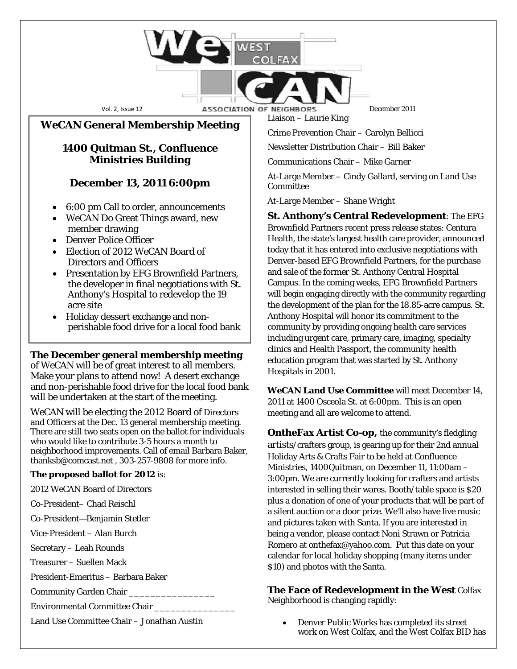### Vol. 2, Issue 12 **December 2011 ASSOCIATION OF NEIGHBORS** December 2011

*WeCAN* **General Membership Meeting**

# **1400 Quitman St., Confluence Ministries Building**

# **December 13, 2011 6:00pm**

- 6:00 pm Call to order, announcements
- WeCAN Do Great Things award, new member drawing
- Denver Police Officer
- Election of 2012 WeCAN Board of Directors and Officers
- Presentation by EFG Brownfield Partners, the developer in final negotiations with St. Anthony's Hospital to redevelop the 19 acre site
- Holiday dessert exchange and nonperishable food drive for a local food bank

### **The December general membership meeting**

of *WeCAN* will be of great interest to all members. Make your plans to attend now! A desert exchange and non-perishable food drive for the local food bank will be undertaken at the start of the meeting.

*WeCAN* will be electing the 2012 Board of Directors and Officers at the Dec. 13 general membership meeting. There are still two seats open on the ballot for individuals who would like to contribute 3-5 hours a month to neighborhood improvements. Call of email Barbara Baker, [thanksb@comcast.net](mailto:thanksb@comcast.net) , 303-257-9808 for more info.

### **The proposed ballot for 2012** is:

2012 WeCAN Board of Directors

Co-President– Chad Reischl

Co-President—Benjamin Stetler

Vice-President – Alan Burch

Secretary – Leah Rounds

Treasurer – Suellen Mack

President-Emeritus – Barbara Baker

Community Garden Chair

Environmental Committee Chair \_\_\_\_\_\_\_\_\_\_\_\_\_\_\_

Land Use Committee Chair – Jonathan Austin

Liaison – Laurie King

Crime Prevention Chair – Carolyn Bellicci

Newsletter Distribution Chair – Bill Baker

Communications Chair – Mike Garner

At-Large Member – Cindy Gallard, serving on Land Use Committee

At-Large Member – Shane Wright

**St. Anthony's Central Redevelopment**: The EFG Brownfield Partners recent press release states: Centura Health, the state's largest health care provider, announced today that it has entered into exclusive negotiations with Denver-base[d EFG Brownfield Partners,](http://www.brownfieldpartners.net/cms/page.php?view=home-page) for the purchase and sale of the former St. Anthony Central Hospital Campus. In the coming weeks, EFG Brownfield Partners will begin engaging directly with the community regarding the development of the plan for the 18.85-acre campus. St. Anthony Hospital will honor its commitment to the community by providing ongoing health care services including urgent care, primary care, imaging, specialty clinics and Health Passport, the community health education program that was started by St. Anthony Hospitals in 2001.

*WeCAN* **Land Use Committee** will meet December 14, 2011 at 1400 Osceola St. at 6:00pm. This is an open meeting and all are welcome to attend.

**OntheFax Artist Co-op,** the community's fledgling artists/crafters group, is gearing up for their 2nd annual Holiday Arts & Crafts Fair to be held at Confluence Ministries, 1400Quitman, on December 11, 11:00am – 3:00pm. We are currently looking for crafters and artists interested in selling their wares. Booth/table space is \$20 plus a donation of one of your products that will be part of a silent auction or a door prize. We'll also have live music and pictures taken with Santa. If you are interested in being a vendor, please contact Noni Strawn or Patricia Romero a[t onthefax@yahoo.com.](mailto:onthefax@yahoo.com) Put this date on your calendar for local holiday shopping (many items under \$10) and photos with the Santa.

#### **The Face of Redevelopment in the West** Colfax Neighborhood is changing rapidly:

• Denver Public Works has completed its street work on West Colfax, and the West Colfax BID has